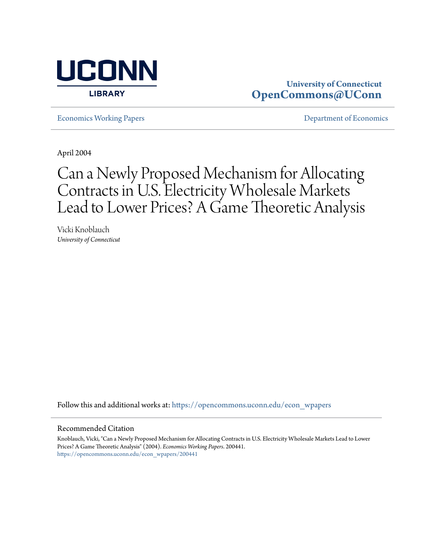

## **University of Connecticut [OpenCommons@UConn](https://opencommons.uconn.edu?utm_source=opencommons.uconn.edu%2Fecon_wpapers%2F200441&utm_medium=PDF&utm_campaign=PDFCoverPages)**

[Economics Working Papers](https://opencommons.uconn.edu/econ_wpapers?utm_source=opencommons.uconn.edu%2Fecon_wpapers%2F200441&utm_medium=PDF&utm_campaign=PDFCoverPages) **[Department of Economics](https://opencommons.uconn.edu/econ?utm_source=opencommons.uconn.edu%2Fecon_wpapers%2F200441&utm_medium=PDF&utm_campaign=PDFCoverPages)** 

April 2004

# Can a Newly Proposed Mechanism for Allocating Contracts in U.S. Electricity Wholesale Markets Lead to Lower Prices? A Game Theoretic Analysis

Vicki Knoblauch *University of Connecticut*

Follow this and additional works at: [https://opencommons.uconn.edu/econ\\_wpapers](https://opencommons.uconn.edu/econ_wpapers?utm_source=opencommons.uconn.edu%2Fecon_wpapers%2F200441&utm_medium=PDF&utm_campaign=PDFCoverPages)

#### Recommended Citation

Knoblauch, Vicki, "Can a Newly Proposed Mechanism for Allocating Contracts in U.S. Electricity Wholesale Markets Lead to Lower Prices? A Game Theoretic Analysis" (2004). *Economics Working Papers*. 200441. [https://opencommons.uconn.edu/econ\\_wpapers/200441](https://opencommons.uconn.edu/econ_wpapers/200441?utm_source=opencommons.uconn.edu%2Fecon_wpapers%2F200441&utm_medium=PDF&utm_campaign=PDFCoverPages)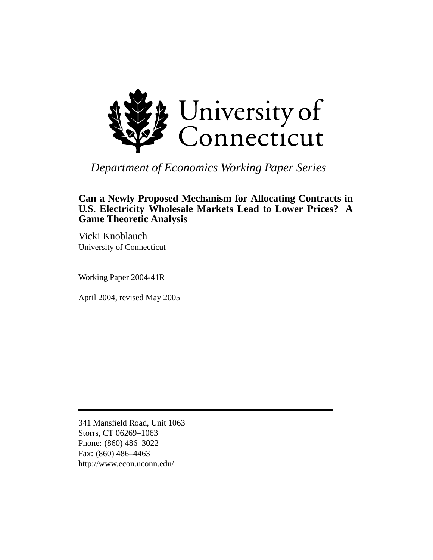

# *Department of Economics Working Paper Series*

### **Can a Newly Proposed Mechanism for Allocating Contracts in U.S. Electricity Wholesale Markets Lead to Lower Prices? A Game Theoretic Analysis**

Vicki Knoblauch University of Connecticut

Working Paper 2004-41R

April 2004, revised May 2005

341 Mansfield Road, Unit 1063 Storrs, CT 06269–1063 Phone: (860) 486–3022 Fax: (860) 486–4463 http://www.econ.uconn.edu/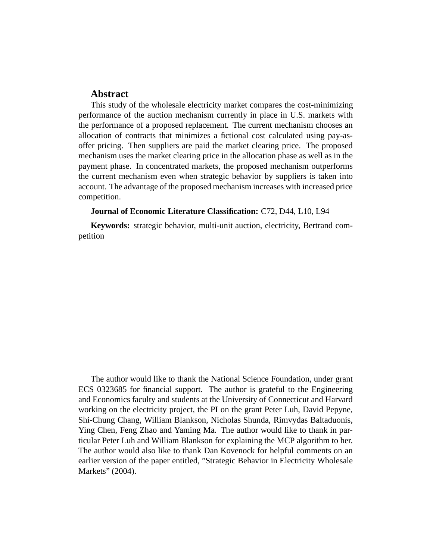#### **Abstract**

This study of the wholesale electricity market compares the cost-minimizing performance of the auction mechanism currently in place in U.S. markets with the performance of a proposed replacement. The current mechanism chooses an allocation of contracts that minimizes a fictional cost calculated using pay-asoffer pricing. Then suppliers are paid the market clearing price. The proposed mechanism uses the market clearing price in the allocation phase as well as in the payment phase. In concentrated markets, the proposed mechanism outperforms the current mechanism even when strategic behavior by suppliers is taken into account. The advantage of the proposed mechanism increases with increased price competition.

#### **Journal of Economic Literature Classification:** C72, D44, L10, L94

**Keywords:** strategic behavior, multi-unit auction, electricity, Bertrand competition

The author would like to thank the National Science Foundation, under grant ECS 0323685 for financial support. The author is grateful to the Engineering and Economics faculty and students at the University of Connecticut and Harvard working on the electricity project, the PI on the grant Peter Luh, David Pepyne, Shi-Chung Chang, William Blankson, Nicholas Shunda, Rimvydas Baltaduonis, Ying Chen, Feng Zhao and Yaming Ma. The author would like to thank in particular Peter Luh and William Blankson for explaining the MCP algorithm to her. The author would also like to thank Dan Kovenock for helpful comments on an earlier version of the paper entitled, "Strategic Behavior in Electricity Wholesale Markets" (2004).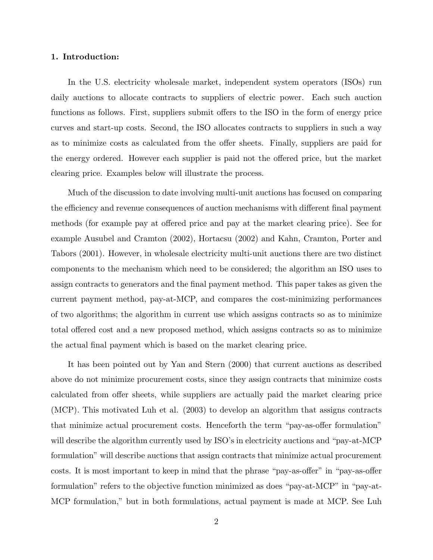#### **1. Introduction:**

In the U.S. electricity wholesale market, independent system operators (ISOs) run daily auctions to allocate contracts to suppliers of electric power. Each such auction functions as follows. First, suppliers submit offers to the ISO in the form of energy price curves and start-up costs. Second, the ISO allocates contracts to suppliers in such a way as to minimize costs as calculated from the offer sheets. Finally, suppliers are paid for the energy ordered. However each supplier is paid not the offered price, but the market clearing price. Examples below will illustrate the process.

Much of the discussion to date involving multi-unit auctions has focused on comparing the efficiency and revenue consequences of auction mechanisms with different final payment methods (for example pay at offered price and pay at the market clearing price). See for example Ausubel and Cramton (2002), Hortacsu (2002) and Kahn, Cramton, Porter and Tabors (2001). However, in wholesale electricity multi-unit auctions there are two distinct components to the mechanism which need to be considered; the algorithm an ISO uses to assign contracts to generators and the final payment method. This paper takes as given the current payment method, pay-at-MCP, and compares the cost-minimizing performances of two algorithms; the algorithm in current use which assigns contracts so as to minimize total offered cost and a new proposed method, which assigns contracts so as to minimize the actual final payment which is based on the market clearing price.

It has been pointed out by Yan and Stern (2000) that current auctions as described above do not minimize procurement costs, since they assign contracts that minimize costs calculated from offer sheets, while suppliers are actually paid the market clearing price (MCP). This motivated Luh et al. (2003) to develop an algorithm that assigns contracts that minimize actual procurement costs. Henceforth the term "pay-as-offer formulation" will describe the algorithm currently used by ISO's in electricity auctions and "pay-at-MCP formulation" will describe auctions that assign contracts that minimize actual procurement costs. It is most important to keep in mind that the phrase "pay-as-offer" in "pay-as-offer formulation" refers to the objective function minimized as does "pay-at-MCP" in "pay-at-MCP formulation," but in both formulations, actual payment is made at MCP. See Luh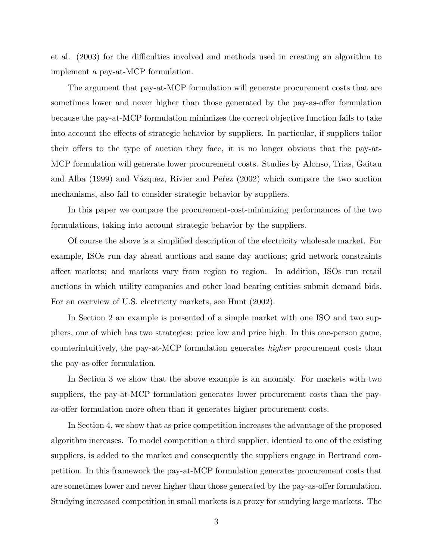et al. (2003) for the difficulties involved and methods used in creating an algorithm to implement a pay-at-MCP formulation.

The argument that pay-at-MCP formulation will generate procurement costs that are sometimes lower and never higher than those generated by the pay-as-offer formulation because the pay-at-MCP formulation minimizes the correct objective function fails to take into account the effects of strategic behavior by suppliers. In particular, if suppliers tailor their offers to the type of auction they face, it is no longer obvious that the pay-at-MCP formulation will generate lower procurement costs. Studies by Alonso, Trias, Gaitau and Alba (1999) and Vázquez, Rivier and Pe $f$ ez (2002) which compare the two auction mechanisms, also fail to consider strategic behavior by suppliers.

In this paper we compare the procurement-cost-minimizing performances of the two formulations, taking into account strategic behavior by the suppliers.

Of course the above is a simplified description of the electricity wholesale market. For example, ISOs run day ahead auctions and same day auctions; grid network constraints affect markets; and markets vary from region to region. In addition, ISOs run retail auctions in which utility companies and other load bearing entities submit demand bids. For an overview of U.S. electricity markets, see Hunt (2002).

In Section 2 an example is presented of a simple market with one ISO and two suppliers, one of which has two strategies: price low and price high. In this one-person game, counterintuitively, the pay-at-MCP formulation generates *higher* procurement costs than the pay-as-offer formulation.

In Section 3 we show that the above example is an anomaly. For markets with two suppliers, the pay-at-MCP formulation generates lower procurement costs than the payas-offer formulation more often than it generates higher procurement costs.

In Section 4, we show that as price competition increases the advantage of the proposed algorithm increases. To model competition a third supplier, identical to one of the existing suppliers, is added to the market and consequently the suppliers engage in Bertrand competition. In this framework the pay-at-MCP formulation generates procurement costs that are sometimes lower and never higher than those generated by the pay-as-offer formulation. Studying increased competition in small markets is a proxy for studying large markets. The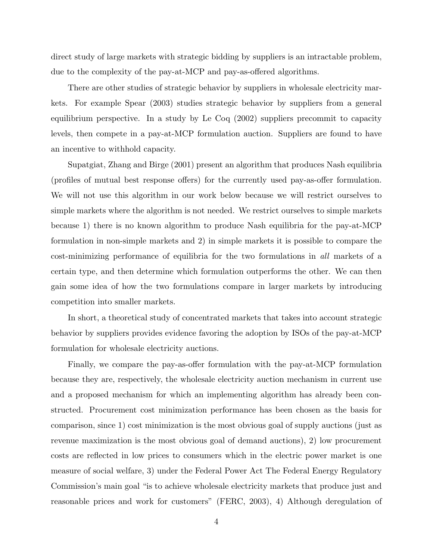direct study of large markets with strategic bidding by suppliers is an intractable problem, due to the complexity of the pay-at-MCP and pay-as-offered algorithms.

There are other studies of strategic behavior by suppliers in wholesale electricity markets. For example Spear (2003) studies strategic behavior by suppliers from a general equilibrium perspective. In a study by Le Coq (2002) suppliers precommit to capacity levels, then compete in a pay-at-MCP formulation auction. Suppliers are found to have an incentive to withhold capacity.

Supatgiat, Zhang and Birge (2001) present an algorithm that produces Nash equilibria (profiles of mutual best response offers) for the currently used pay-as-offer formulation. We will not use this algorithm in our work below because we will restrict ourselves to simple markets where the algorithm is not needed. We restrict ourselves to simple markets because 1) there is no known algorithm to produce Nash equilibria for the pay-at-MCP formulation in non-simple markets and 2) in simple markets it is possible to compare the cost-minimizing performance of equilibria for the two formulations in *all* markets of a certain type, and then determine which formulation outperforms the other. We can then gain some idea of how the two formulations compare in larger markets by introducing competition into smaller markets.

In short, a theoretical study of concentrated markets that takes into account strategic behavior by suppliers provides evidence favoring the adoption by ISOs of the pay-at-MCP formulation for wholesale electricity auctions.

Finally, we compare the pay-as-offer formulation with the pay-at-MCP formulation because they are, respectively, the wholesale electricity auction mechanism in current use and a proposed mechanism for which an implementing algorithm has already been constructed. Procurement cost minimization performance has been chosen as the basis for comparison, since 1) cost minimization is the most obvious goal of supply auctions (just as revenue maximization is the most obvious goal of demand auctions), 2) low procurement costs are reflected in low prices to consumers which in the electric power market is one measure of social welfare, 3) under the Federal Power Act The Federal Energy Regulatory Commission's main goal "is to achieve wholesale electricity markets that produce just and reasonable prices and work for customers" (FERC, 2003), 4) Although deregulation of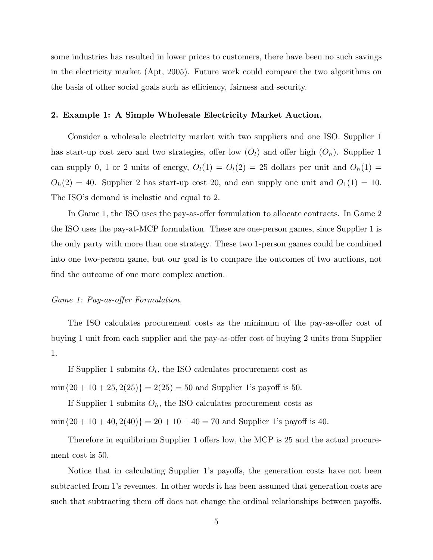some industries has resulted in lower prices to customers, there have been no such savings in the electricity market (Apt, 2005). Future work could compare the two algorithms on the basis of other social goals such as efficiency, fairness and security.

#### **2. Example 1: A Simple Wholesale Electricity Market Auction.**

Consider a wholesale electricity market with two suppliers and one ISO. Supplier 1 has start-up cost zero and two strategies, offer low  $(O_l)$  and offer high  $(O_h)$ . Supplier 1 can supply 0, 1 or 2 units of energy,  $O_l(1) = O_l(2) = 25$  dollars per unit and  $O_h(1) =$  $O_h(2) = 40$ . Supplier 2 has start-up cost 20, and can supply one unit and  $O_1(1) = 10$ . The ISO's demand is inelastic and equal to 2.

In Game 1, the ISO uses the pay-as-offer formulation to allocate contracts. In Game 2 the ISO uses the pay-at-MCP formulation. These are one-person games, since Supplier 1 is the only party with more than one strategy. These two 1-person games could be combined into one two-person game, but our goal is to compare the outcomes of two auctions, not find the outcome of one more complex auction.

#### *Game 1: Pay-as-offer Formulation.*

The ISO calculates procurement costs as the minimum of the pay-as-offer cost of buying 1 unit from each supplier and the pay-as-offer cost of buying 2 units from Supplier 1.

If Supplier 1 submits  $O_l$ , the ISO calculates procurement cost as

 $min{20 + 10 + 25, 2(25)} = 2(25) = 50$  and Supplier 1's payoff is 50.

If Supplier 1 submits  $O_h$ , the ISO calculates procurement costs as  $min{20 + 10 + 40, 2(40)} = 20 + 10 + 40 = 70$  and Supplier 1's payoff is 40.

Therefore in equilibrium Supplier 1 offers low, the MCP is 25 and the actual procurement cost is 50.

Notice that in calculating Supplier 1's payoffs, the generation costs have not been subtracted from 1's revenues. In other words it has been assumed that generation costs are such that subtracting them off does not change the ordinal relationships between payoffs.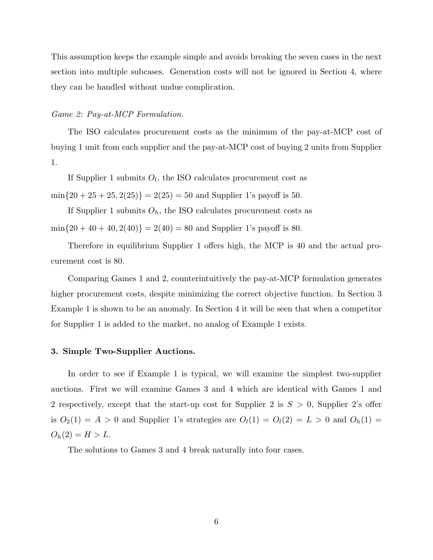This assumption keeps the example simple and avoids breaking the seven cases in the next section into multiple subcases. Generation costs will not be ignored in Section 4, where they can be handled without undue complication.

#### *Game 2: Pay-at-MCP Formulation.*

The ISO calculates procurement costs as the minimum of the pay-at-MCP cost of buying 1 unit from each supplier and the pay-at-MCP cost of buying 2 units from Supplier 1.

If Supplier 1 submits  $O_l$ , the ISO calculates procurement cost as

 $min{20 + 25 + 25, 2(25)} = 2(25) = 50$  and Supplier 1's payoff is 50.

If Supplier 1 submits  $O_h$ , the ISO calculates procurement costs as  $min{20 + 40 + 40, 2(40)} = 2(40) = 80$  and Supplier 1's payoff is 80.

Therefore in equilibrium Supplier 1 offers high, the MCP is 40 and the actual procurement cost is 80.

Comparing Games 1 and 2, counterintuitively the pay-at-MCP formulation generates higher procurement costs, despite minimizing the correct objective function. In Section 3 Example 1 is shown to be an anomaly. In Section 4 it will be seen that when a competitor for Supplier 1 is added to the market, no analog of Example 1 exists.

#### **3. Simple Two-Supplier Auctions.**

In order to see if Example 1 is typical, we will examine the simplest two-supplier auctions. First we will examine Games 3 and 4 which are identical with Games 1 and 2 respectively, except that the start-up cost for Supplier 2 is  $S > 0$ , Supplier 2's offer is  $O_2(1) = A > 0$  and Supplier 1's strategies are  $O_l(1) = O_l(2) = L > 0$  and  $O_h(1) =$  $O_h(2) = H > L.$ 

The solutions to Games 3 and 4 break naturally into four cases.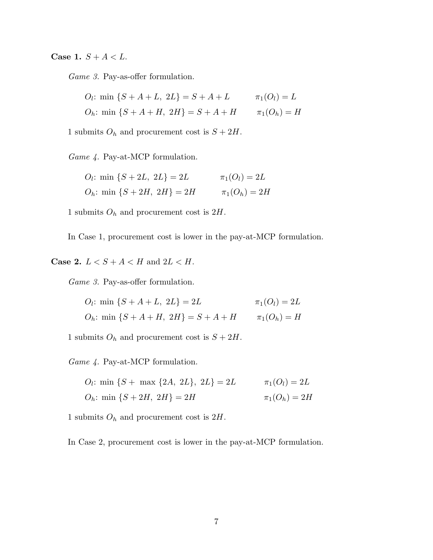**Case 1.**  $S + A < L$ .

*Game 3.* Pay-as-offer formulation.

*O<sub>l</sub>*: min {
$$
S + A + L
$$
,  $2L$ } =  $S + A + L$   $\pi_1(O_l) = L$   
*O<sub>h</sub>*: min { $S + A + H$ ,  $2H$ } =  $S + A + H$   $\pi_1(O_h) = H$ 

1 submits  $O_h$  and procurement cost is  $S + 2H$ .

*Game 4.* Pay-at-MCP formulation.

*O<sub>l</sub>*: min {
$$
S + 2L, 2L
$$
} = 2L  $\pi_1(O_l) = 2L$   
\n*O<sub>h</sub>*: min { $S + 2H, 2H$ } = 2H  $\pi_1(O_h) = 2H$ 

1 submits <sup>O</sup>*<sup>h</sup>* and procurement cost is 2H.

In Case 1, procurement cost is lower in the pay-at-MCP formulation.

**Case 2.**  $L < S + A < H$  and  $2L < H$ .

*Game 3.* Pay-as-offer formulation.

*O<sub>l</sub>*: min 
$$
\{S + A + L, 2L\} = 2L
$$
  $\pi_1(O_l) = 2L$   
\n*O<sub>h</sub>*: min  $\{S + A + H, 2H\} = S + A + H$   $\pi_1(O_h) = H$ 

1 submits  $O_h$  and procurement cost is  $S + 2H$ .

*Game 4.* Pay-at-MCP formulation.

*O<sub>l</sub>*: min {*S* + max {2*A*, 2*L*}, 2*L*} = 2*L* 
$$
\pi_1(O_l) = 2L
$$
  
\n*O<sub>h</sub>*: min {*S* + 2*H*, 2*H*} = 2*H*  $\pi_1(O_h) = 2H$ 

1 submits <sup>O</sup>*<sup>h</sup>* and procurement cost is 2H.

In Case 2, procurement cost is lower in the pay-at-MCP formulation.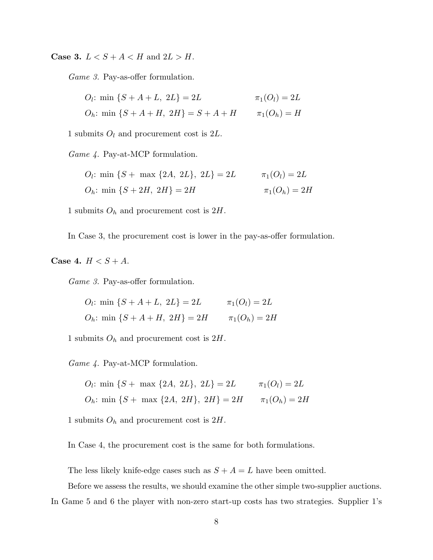**Case 3.**  $L < S + A < H$  and  $2L > H$ .

*Game 3.* Pay-as-offer formulation.

*O<sub>l</sub>*: min {
$$
S + A + L
$$
,  $2L$ } = 2*L*  $\pi_1(O_l) = 2L$   
\n*O<sub>h</sub>*: min { $S + A + H$ ,  $2H$ } =  $S + A + H$   $\pi_1(O_h) = H$ 

1 submits  $O_l$  and procurement cost is  $2L$ .

*Game 4.* Pay-at-MCP formulation.

*O<sub>l</sub>*: min {*S* + max {2*A*, 2*L*}, 2*L*} = 2*L* 
$$
\pi_1(O_l) = 2L
$$
  
\n*O<sub>h</sub>*: min {*S* + 2*H*, 2*H*} = 2*H*  $\pi_1(O_h) = 2H$ 

1 submits <sup>O</sup>*<sup>h</sup>* and procurement cost is 2H.

In Case 3, the procurement cost is lower in the pay-as-offer formulation.

**Case 4.**  $H < S + A$ .

*Game 3.* Pay-as-offer formulation.

*O<sub>l</sub>*: min {
$$
S + A + L
$$
,  $2L$ } = 2*L*  $\pi_1(O_l) = 2L$   
\n*O<sub>h</sub>*: min { $S + A + H$ ,  $2H$ } = 2*H*  $\pi_1(O_h) = 2H$ 

1 submits <sup>O</sup>*<sup>h</sup>* and procurement cost is 2H.

*Game 4.* Pay-at-MCP formulation.

*O<sub>l</sub>*: min {*S* + max {2*A*, 2*L*}, 2*L*} = 2*L* 
$$
\pi_1(O_l) = 2L
$$
  
*O<sub>h</sub>*: min {*S* + max {2*A*, 2*H*}, 2*H*} = 2*H*  $\pi_1(O_h) = 2H$ 

1 submits  $O_h$  and procurement cost is  $2H$ .

In Case 4, the procurement cost is the same for both formulations.

The less likely knife-edge cases such as  $S + A = L$  have been omitted.

Before we assess the results, we should examine the other simple two-supplier auctions. In Game 5 and 6 the player with non-zero start-up costs has two strategies. Supplier 1's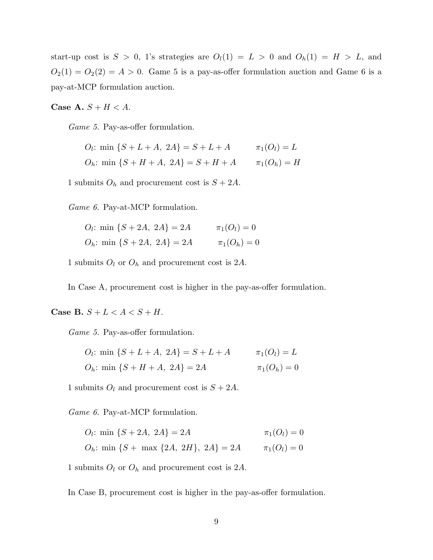start-up cost is  $S > 0$ , 1's strategies are  $O_l(1) = L > 0$  and  $O_h(1) = H > L$ , and  $O_2(1) = O_2(2) = A > 0$ . Game 5 is a pay-as-offer formulation auction and Game 6 is a pay-at-MCP formulation auction.

**Case A.**  $S + H < A$ .

*Game 5.* Pay-as-offer formulation.

 $O_l$ : min  $\{S + L + A, 2A\} = S + L + A$   $\pi_1(O_l) = L$  $O_h$ : min  $\{S + H + A, 2A\} = S + H + A$   $\pi_1(O_h) = H$ 

1 submits  $O_h$  and procurement cost is  $S + 2A$ .

*Game 6.* Pay-at-MCP formulation.

| $Q_l$ : min $\{S+2A, 2A\} = 2A$ | $\pi_1(O_l) = 0$ |
|---------------------------------|------------------|
| $O_h$ : min $\{S+2A, 2A\} = 2A$ | $\pi_1(O_h) = 0$ |

1 submits <sup>O</sup>*<sup>l</sup>* or <sup>O</sup>*<sup>h</sup>* and procurement cost is 2A.

In Case A, procurement cost is higher in the pay-as-offer formulation.

**Case B.**  $S + L < A < S + H$ .

*Game 5.* Pay-as-offer formulation.

*O<sub>l</sub>*: min {
$$
S + L + A
$$
,  $2A$ } =  $S + L + A$   $\pi_1(O_l) = L$   
\n*O<sub>h</sub>*: min { $S + H + A$ ,  $2A$ } = 2A  $\pi_1(O_h) = 0$ 

1 submits  $O_l$  and procurement cost is  $S + 2A$ .

*Game 6.* Pay-at-MCP formulation.

 $O_l$ : min { $S + 2A$ ,  $2A$ } = 2A  $\pi_1(O_l) = 0$ 

$$
O_h: \min \{S + \max \{2A, 2H\}, 2A\} = 2A \qquad \pi_1(O_l) = 0
$$

1 submits  $O_l$  or  $O_h$  and procurement cost is 2A.

In Case B, procurement cost is higher in the pay-as-offer formulation.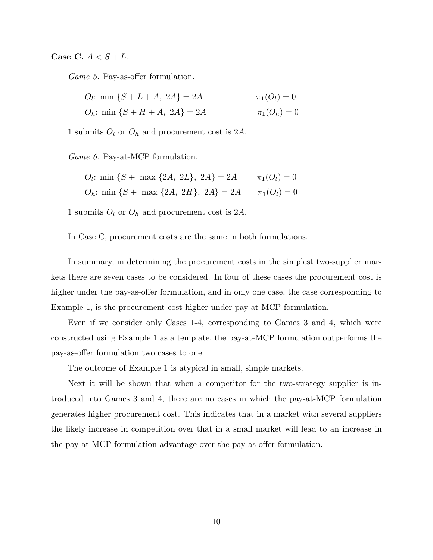**Case C.**  $A < S + L$ .

*Game 5.* Pay-as-offer formulation.

*O<sub>l</sub>*: min {
$$
S + L + A
$$
,  $2A$ } = 2*A*  $\pi_1(O_l) = 0$   
\n*O<sub>h</sub>*: min { $S + H + A$ ,  $2A$ } = 2*A*  $\pi_1(O_h) = 0$ 

1 submits  $O_l$  or  $O_h$  and procurement cost is 2A.

*Game 6.* Pay-at-MCP formulation.

*O<sub>l</sub>*: min {*S* + max {2*A*, 2*L*}, 2*A*} = 2*A* 
$$
\pi_1(O_l) = 0
$$
  
*O<sub>h</sub>*: min {*S* + max {2*A*, 2*H*}, 2*A*} = 2*A*  $\pi_1(O_l) = 0$ 

1 submits  $O_l$  or  $O_h$  and procurement cost is 2A.

In Case C, procurement costs are the same in both formulations.

In summary, in determining the procurement costs in the simplest two-supplier markets there are seven cases to be considered. In four of these cases the procurement cost is higher under the pay-as-offer formulation, and in only one case, the case corresponding to Example 1, is the procurement cost higher under pay-at-MCP formulation.

Even if we consider only Cases 1-4, corresponding to Games 3 and 4, which were constructed using Example 1 as a template, the pay-at-MCP formulation outperforms the pay-as-offer formulation two cases to one.

The outcome of Example 1 is atypical in small, simple markets.

Next it will be shown that when a competitor for the two-strategy supplier is introduced into Games 3 and 4, there are no cases in which the pay-at-MCP formulation generates higher procurement cost. This indicates that in a market with several suppliers the likely increase in competition over that in a small market will lead to an increase in the pay-at-MCP formulation advantage over the pay-as-offer formulation.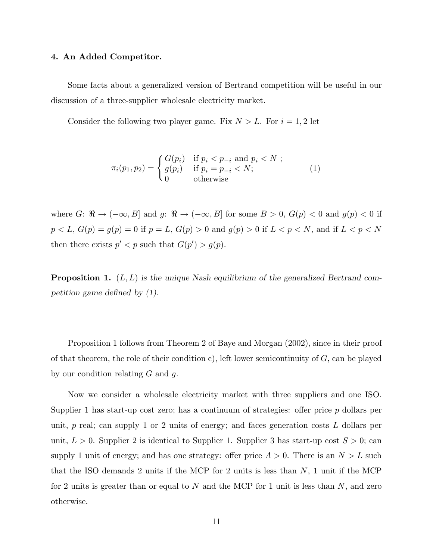#### **4. An Added Competitor.**

Some facts about a generalized version of Bertrand competition will be useful in our discussion of a three-supplier wholesale electricity market.

Consider the following two player game. Fix  $N > L$ . For  $i = 1, 2$  let

$$
\pi_i(p_1, p_2) = \begin{cases} G(p_i) & \text{if } p_i < p_{-i} \text{ and } p_i < N ; \\ g(p_i) & \text{if } p_i = p_{-i} < N; \\ 0 & \text{otherwise} \end{cases} \tag{1}
$$

where G:  $\Re \to (-\infty, B]$  and g:  $\Re \to (-\infty, B]$  for some  $B > 0$ ,  $G(p) < 0$  and  $g(p) < 0$  if  $p < L, G(p) = g(p) = 0$  if  $p = L, G(p) > 0$  and  $g(p) > 0$  if  $L < p < N$  and if  $L < p < N$ then there exists  $p' < p$  such that  $G(p') > g(p)$ .

**Proposition 1.** (L, L) *is the unique Nash equilibrium of the generalized Bertrand competition game defined by (1).*

Proposition 1 follows from Theorem 2 of Baye and Morgan (2002), since in their proof of that theorem, the role of their condition c), left lower semicontinuity of  $G$ , can be played by our condition relating  $G$  and  $g$ .

Now we consider a wholesale electricity market with three suppliers and one ISO. Supplier 1 has start-up cost zero; has a continuum of strategies: offer price p dollars per unit,  $p$  real; can supply 1 or 2 units of energy; and faces generation costs  $L$  dollars per unit,  $L > 0$ . Supplier 2 is identical to Supplier 1. Supplier 3 has start-up cost  $S > 0$ ; can supply 1 unit of energy; and has one strategy: offer price  $A > 0$ . There is an  $N > L$  such that the ISO demands 2 units if the MCP for 2 units is less than  $N$ , 1 unit if the MCP for 2 units is greater than or equal to  $N$  and the MCP for 1 unit is less than  $N$ , and zero otherwise.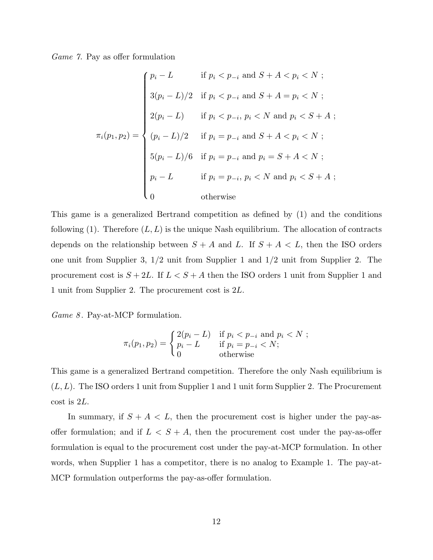*Game 7.* Pay as offer formulation

$$
\pi_i(p_1, p_2) = \begin{cases}\n p_i - L & \text{if } p_i < p_{-i} \text{ and } S + A < p_i < N ; \\
3(p_i - L)/2 & \text{if } p_i < p_{-i} \text{ and } S + A = p_i < N ; \\
2(p_i - L) & \text{if } p_i < p_{-i}, p_i < N \text{ and } p_i < S + A ; \\
(p_i - L)/2 & \text{if } p_i = p_{-i} \text{ and } S + A < p_i < N ; \\
5(p_i - L)/6 & \text{if } p_i = p_{-i} \text{ and } p_i = S + A < N ; \\
p_i - L & \text{if } p_i = p_{-i}, p_i < N \text{ and } p_i < S + A ; \\
0 & \text{otherwise}\n\end{cases}
$$

This game is a generalized Bertrand competition as defined by (1) and the conditions following  $(1)$ . Therefore  $(L, L)$  is the unique Nash equilibrium. The allocation of contracts depends on the relationship between  $S + A$  and L. If  $S + A < L$ , then the ISO orders one unit from Supplier 3, 1/2 unit from Supplier 1 and 1/2 unit from Supplier 2. The procurement cost is  $S + 2L$ . If  $L < S + A$  then the ISO orders 1 unit from Supplier 1 and 1 unit from Supplier 2. The procurement cost is 2L.

*Game 8* . Pay-at-MCP formulation.

$$
\pi_i(p_1, p_2) = \begin{cases} 2(p_i - L) & \text{if } p_i < p_{-i} \text{ and } p_i < N \\ p_i - L & \text{if } p_i = p_{-i} < N; \\ 0 & \text{otherwise} \end{cases}
$$

This game is a generalized Bertrand competition. Therefore the only Nash equilibrium is  $(L, L)$ . The ISO orders 1 unit from Supplier 1 and 1 unit form Supplier 2. The Procurement cost is 2L.

In summary, if  $S + A < L$ , then the procurement cost is higher under the pay-asoffer formulation; and if  $L < S + A$ , then the procurement cost under the pay-as-offer formulation is equal to the procurement cost under the pay-at-MCP formulation. In other words, when Supplier 1 has a competitor, there is no analog to Example 1. The pay-at-MCP formulation outperforms the pay-as-offer formulation.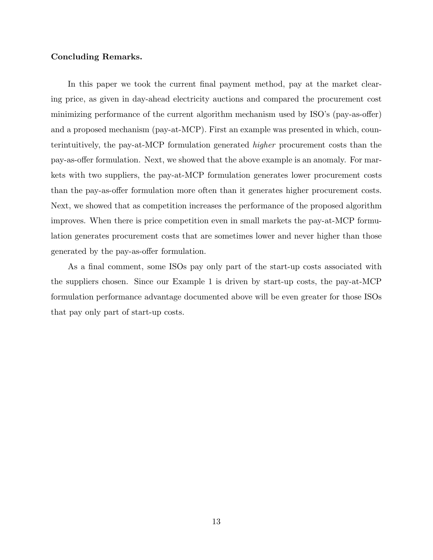#### **Concluding Remarks.**

In this paper we took the current final payment method, pay at the market clearing price, as given in day-ahead electricity auctions and compared the procurement cost minimizing performance of the current algorithm mechanism used by ISO's (pay-as-offer) and a proposed mechanism (pay-at-MCP). First an example was presented in which, counterintuitively, the pay-at-MCP formulation generated *higher* procurement costs than the pay-as-offer formulation. Next, we showed that the above example is an anomaly. For markets with two suppliers, the pay-at-MCP formulation generates lower procurement costs than the pay-as-offer formulation more often than it generates higher procurement costs. Next, we showed that as competition increases the performance of the proposed algorithm improves. When there is price competition even in small markets the pay-at-MCP formulation generates procurement costs that are sometimes lower and never higher than those generated by the pay-as-offer formulation.

As a final comment, some ISOs pay only part of the start-up costs associated with the suppliers chosen. Since our Example 1 is driven by start-up costs, the pay-at-MCP formulation performance advantage documented above will be even greater for those ISOs that pay only part of start-up costs.